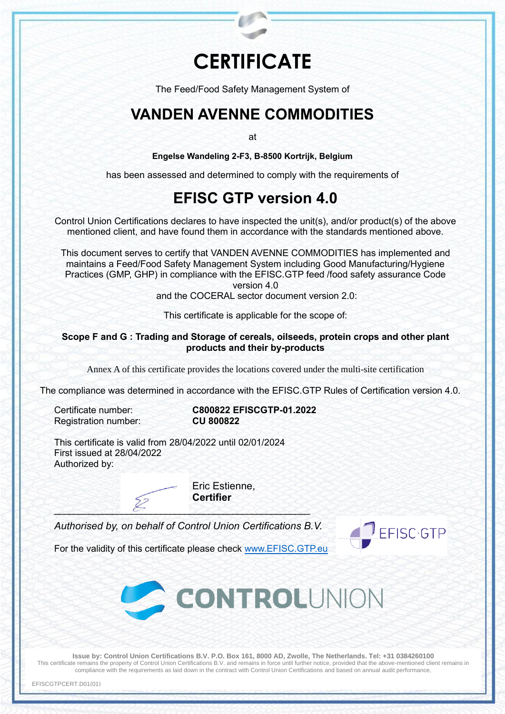## **CERTIFICATE**

The Feed/Food Safety Management System of

## **VANDEN AVENNE COMMODITIES**

at

**Engelse Wandeling 2-F3, B-8500 Kortrijk, Belgium**

has been assessed and determined to comply with the requirements of

## **EFISC GTP version 4.0**

Control Union Certifications declares to have inspected the unit(s), and/or product(s) of the above mentioned client, and have found them in accordance with the standards mentioned above.

This document serves to certify that VANDEN AVENNE COMMODITIES has implemented and maintains a Feed/Food Safety Management System including Good Manufacturing/Hygiene Practices (GMP, GHP) in compliance with the EFISC.GTP feed /food safety assurance Code version 4.0

and the COCERAL sector document version 2.0:

This certificate is applicable for the scope of:

## **Scope F and G : Trading and Storage of cereals, oilseeds, protein crops and other plant products and their by-products**

Annex A of this certificate provides the locations covered under the multi-site certification

The compliance was determined in accordance with the EFISC.GTP Rules of Certification version 4.0.

**Registration number:** 

Certificate number: **C800822 EFISCGTP-01.2022**

This certificate is valid from 28/04/2022 until 02/01/2024 First issued at 28/04/2022 Authorized by:

> Eric Estienne, **Certifier**

*Authorised by, on behalf of Control Union Certifications B.V.*

 $123326$  ,  $233333333$ 



For the validity of this certificate please check [www.EFISC.GTP.eu](http://www.efisc.gtp.eu/)



**Issue by: Control Union Certifications B.V. P.O. Box 161, 8000 AD, Zwolle, The Netherlands. Tel: +31 0384260100** This certificate remains the property of Control Union Certifications B.V. and remains in force until further notice, provided that the above-mentioned client remains in compliance with the requirements as laid down in the contract with Control Union Certifications and based on annual audit performance,

EFISCGTPCERT.D01(01)